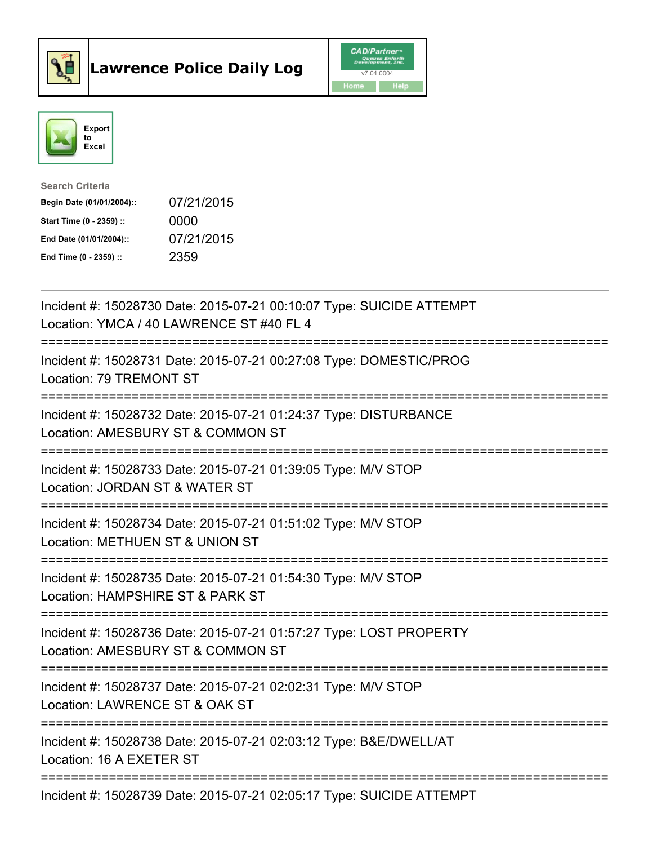



| <b>Search Criteria</b>    |            |
|---------------------------|------------|
| Begin Date (01/01/2004):: | 07/21/2015 |
| Start Time (0 - 2359) ::  | 0000       |
| End Date (01/01/2004)::   | 07/21/2015 |
| End Time $(0 - 2359)$ :   | 2359       |

| Incident #: 15028730 Date: 2015-07-21 00:10:07 Type: SUICIDE ATTEMPT<br>Location: YMCA / 40 LAWRENCE ST #40 FL 4                            |
|---------------------------------------------------------------------------------------------------------------------------------------------|
| Incident #: 15028731 Date: 2015-07-21 00:27:08 Type: DOMESTIC/PROG<br>Location: 79 TREMONT ST<br>----------------<br>====================== |
| Incident #: 15028732 Date: 2015-07-21 01:24:37 Type: DISTURBANCE<br>Location: AMESBURY ST & COMMON ST<br>========================           |
| Incident #: 15028733 Date: 2015-07-21 01:39:05 Type: M/V STOP<br>Location: JORDAN ST & WATER ST                                             |
| Incident #: 15028734 Date: 2015-07-21 01:51:02 Type: M/V STOP<br>Location: METHUEN ST & UNION ST<br>:=========================              |
| Incident #: 15028735 Date: 2015-07-21 01:54:30 Type: M/V STOP<br>Location: HAMPSHIRE ST & PARK ST<br>------------------------               |
| Incident #: 15028736 Date: 2015-07-21 01:57:27 Type: LOST PROPERTY<br>Location: AMESBURY ST & COMMON ST<br>===============================  |
| Incident #: 15028737 Date: 2015-07-21 02:02:31 Type: M/V STOP<br>Location: LAWRENCE ST & OAK ST                                             |
| Incident #: 15028738 Date: 2015-07-21 02:03:12 Type: B&E/DWELL/AT<br>Location: 16 A EXETER ST                                               |
| Incident #: 15028739 Date: 2015-07-21 02:05:17 Type: SUICIDE ATTEMPT                                                                        |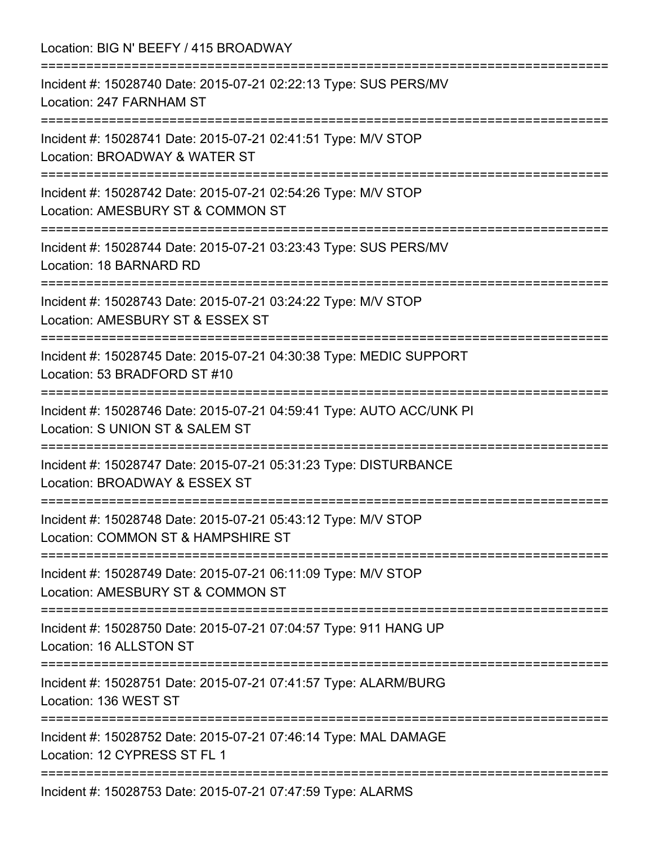Location: BIG N' BEEFY / 415 BROADWAY

=========================================================================== Incident #: 15028740 Date: 2015-07-21 02:22:13 Type: SUS PERS/MV Location: 247 FARNHAM ST =========================================================================== Incident #: 15028741 Date: 2015-07-21 02:41:51 Type: M/V STOP Location: BROADWAY & WATER ST =========================================================================== Incident #: 15028742 Date: 2015-07-21 02:54:26 Type: M/V STOP Location: AMESBURY ST & COMMON ST =========================================================================== Incident #: 15028744 Date: 2015-07-21 03:23:43 Type: SUS PERS/MV Location: 18 BARNARD RD =========================================================================== Incident #: 15028743 Date: 2015-07-21 03:24:22 Type: M/V STOP Location: AMESBURY ST & ESSEX ST =========================================================================== Incident #: 15028745 Date: 2015-07-21 04:30:38 Type: MEDIC SUPPORT Location: 53 BRADFORD ST #10 =========================================================================== Incident #: 15028746 Date: 2015-07-21 04:59:41 Type: AUTO ACC/UNK PI Location: S UNION ST & SALEM ST =========================================================================== Incident #: 15028747 Date: 2015-07-21 05:31:23 Type: DISTURBANCE Location: BROADWAY & ESSEX ST =========================================================================== Incident #: 15028748 Date: 2015-07-21 05:43:12 Type: M/V STOP Location: COMMON ST & HAMPSHIRE ST =========================================================================== Incident #: 15028749 Date: 2015-07-21 06:11:09 Type: M/V STOP Location: AMESBURY ST & COMMON ST =========================================================================== Incident #: 15028750 Date: 2015-07-21 07:04:57 Type: 911 HANG UP Location: 16 ALLSTON ST =========================================================================== Incident #: 15028751 Date: 2015-07-21 07:41:57 Type: ALARM/BURG Location: 136 WEST ST =========================================================================== Incident #: 15028752 Date: 2015-07-21 07:46:14 Type: MAL DAMAGE Location: 12 CYPRESS ST FL 1 =========================================================================== Incident #: 15028753 Date: 2015-07-21 07:47:59 Type: ALARMS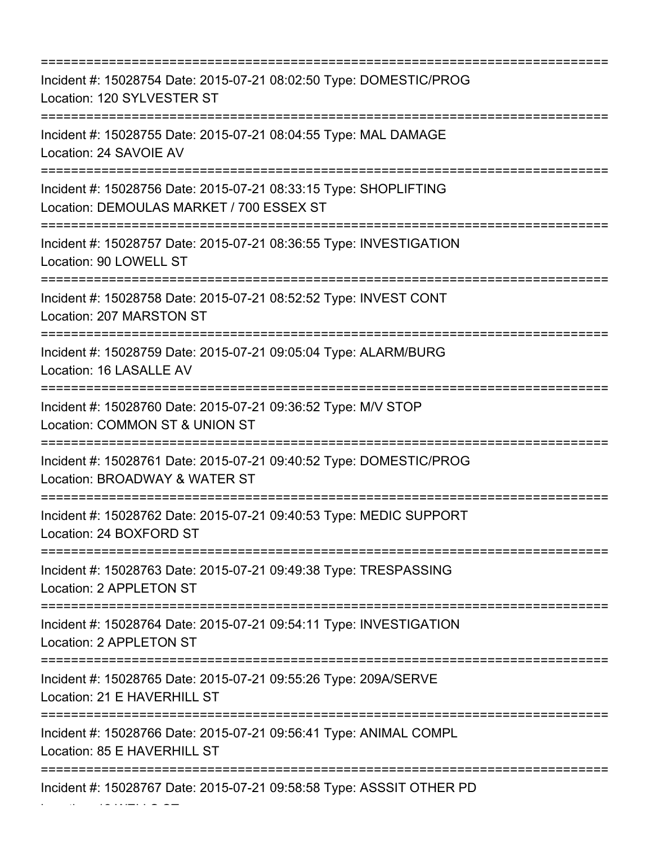=========================================================================== Incident #: 15028754 Date: 2015-07-21 08:02:50 Type: DOMESTIC/PROG Location: 120 SYLVESTER ST =========================================================================== Incident #: 15028755 Date: 2015-07-21 08:04:55 Type: MAL DAMAGE Location: 24 SAVOIE AV =========================================================================== Incident #: 15028756 Date: 2015-07-21 08:33:15 Type: SHOPLIFTING Location: DEMOULAS MARKET / 700 ESSEX ST =========================================================================== Incident #: 15028757 Date: 2015-07-21 08:36:55 Type: INVESTIGATION Location: 90 LOWELL ST =========================================================================== Incident #: 15028758 Date: 2015-07-21 08:52:52 Type: INVEST CONT Location: 207 MARSTON ST =========================================================================== Incident #: 15028759 Date: 2015-07-21 09:05:04 Type: ALARM/BURG Location: 16 LASALLE AV =========================================================================== Incident #: 15028760 Date: 2015-07-21 09:36:52 Type: M/V STOP Location: COMMON ST & UNION ST =========================================================================== Incident #: 15028761 Date: 2015-07-21 09:40:52 Type: DOMESTIC/PROG Location: BROADWAY & WATER ST =========================================================================== Incident #: 15028762 Date: 2015-07-21 09:40:53 Type: MEDIC SUPPORT Location: 24 BOXFORD ST =========================================================================== Incident #: 15028763 Date: 2015-07-21 09:49:38 Type: TRESPASSING Location: 2 APPLETON ST =========================================================================== Incident #: 15028764 Date: 2015-07-21 09:54:11 Type: INVESTIGATION Location: 2 APPLETON ST =========================================================================== Incident #: 15028765 Date: 2015-07-21 09:55:26 Type: 209A/SERVE Location: 21 E HAVERHILL ST =========================================================================== Incident #: 15028766 Date: 2015-07-21 09:56:41 Type: ANIMAL COMPL Location: 85 E HAVERHILL ST =========================================================================== Incident #: 15028767 Date: 2015-07-21 09:58:58 Type: ASSSIT OTHER PD

Location: 12 WELLS ST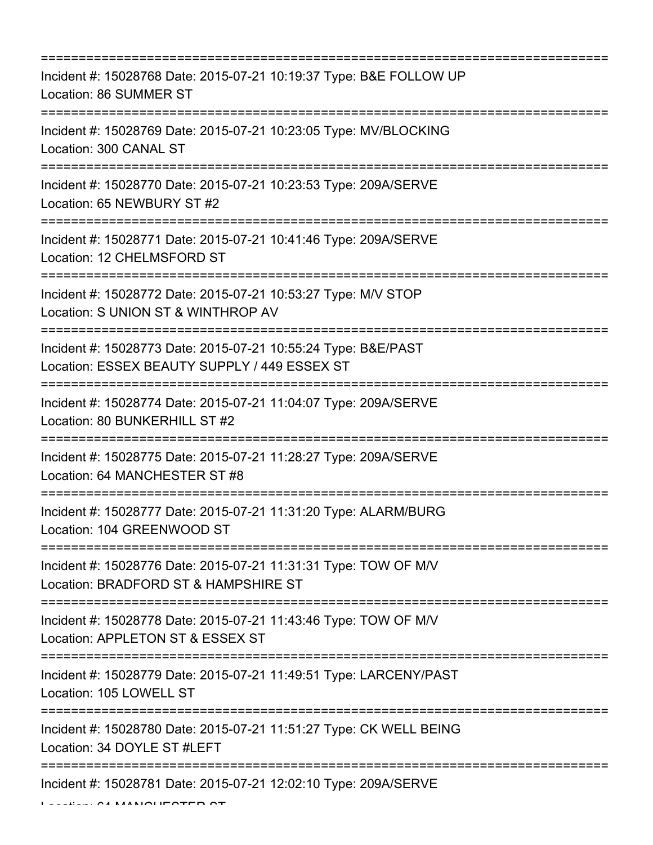| Incident #: 15028768 Date: 2015-07-21 10:19:37 Type: B&E FOLLOW UP<br>Location: 86 SUMMER ST                                |
|-----------------------------------------------------------------------------------------------------------------------------|
| Incident #: 15028769 Date: 2015-07-21 10:23:05 Type: MV/BLOCKING<br>Location: 300 CANAL ST                                  |
| Incident #: 15028770 Date: 2015-07-21 10:23:53 Type: 209A/SERVE<br>Location: 65 NEWBURY ST #2                               |
| Incident #: 15028771 Date: 2015-07-21 10:41:46 Type: 209A/SERVE<br>Location: 12 CHELMSFORD ST                               |
| Incident #: 15028772 Date: 2015-07-21 10:53:27 Type: M/V STOP<br>Location: S UNION ST & WINTHROP AV                         |
| Incident #: 15028773 Date: 2015-07-21 10:55:24 Type: B&E/PAST<br>Location: ESSEX BEAUTY SUPPLY / 449 ESSEX ST               |
| Incident #: 15028774 Date: 2015-07-21 11:04:07 Type: 209A/SERVE<br>Location: 80 BUNKERHILL ST #2                            |
| Incident #: 15028775 Date: 2015-07-21 11:28:27 Type: 209A/SERVE<br>Location: 64 MANCHESTER ST #8<br>======================= |
| Incident #: 15028777 Date: 2015-07-21 11:31:20 Type: ALARM/BURG<br>Location: 104 GREENWOOD ST                               |
| Incident #: 15028776 Date: 2015-07-21 11:31:31 Type: TOW OF M/V<br>Location: BRADFORD ST & HAMPSHIRE ST                     |
| Incident #: 15028778 Date: 2015-07-21 11:43:46 Type: TOW OF M/V<br>Location: APPLETON ST & ESSEX ST                         |
| Incident #: 15028779 Date: 2015-07-21 11:49:51 Type: LARCENY/PAST<br>Location: 105 LOWELL ST                                |
| Incident #: 15028780 Date: 2015-07-21 11:51:27 Type: CK WELL BEING<br>Location: 34 DOYLE ST #LEFT                           |
| Incident #: 15028781 Date: 2015-07-21 12:02:10 Type: 209A/SERVE                                                             |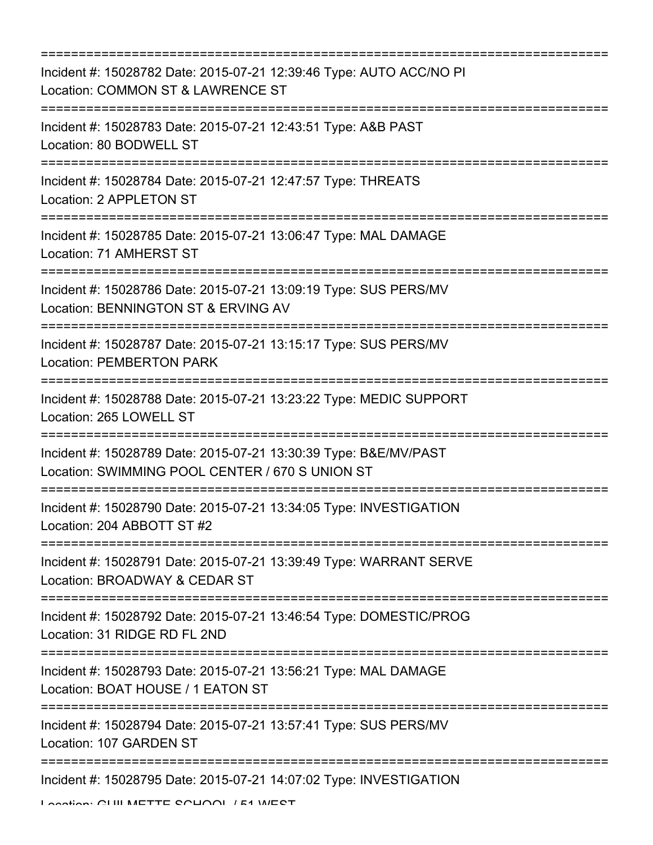| ;================================                                                                                                                                 |
|-------------------------------------------------------------------------------------------------------------------------------------------------------------------|
| Incident #: 15028782 Date: 2015-07-21 12:39:46 Type: AUTO ACC/NO PI<br>Location: COMMON ST & LAWRENCE ST<br>:======================                               |
| Incident #: 15028783 Date: 2015-07-21 12:43:51 Type: A&B PAST<br>Location: 80 BODWELL ST                                                                          |
| Incident #: 15028784 Date: 2015-07-21 12:47:57 Type: THREATS<br>Location: 2 APPLETON ST<br>=============================<br>=================================     |
| Incident #: 15028785 Date: 2015-07-21 13:06:47 Type: MAL DAMAGE<br>Location: 71 AMHERST ST                                                                        |
| Incident #: 15028786 Date: 2015-07-21 13:09:19 Type: SUS PERS/MV<br>Location: BENNINGTON ST & ERVING AV                                                           |
| Incident #: 15028787 Date: 2015-07-21 13:15:17 Type: SUS PERS/MV<br><b>Location: PEMBERTON PARK</b>                                                               |
| Incident #: 15028788 Date: 2015-07-21 13:23:22 Type: MEDIC SUPPORT<br>Location: 265 LOWELL ST<br>:===================================                             |
| Incident #: 15028789 Date: 2015-07-21 13:30:39 Type: B&E/MV/PAST<br>Location: SWIMMING POOL CENTER / 670 S UNION ST                                               |
| Incident #: 15028790 Date: 2015-07-21 13:34:05 Type: INVESTIGATION<br>Location: 204 ABBOTT ST #2<br>======================================<br>=================== |
| Incident #: 15028791 Date: 2015-07-21 13:39:49 Type: WARRANT SERVE<br>Location: BROADWAY & CEDAR ST                                                               |
| Incident #: 15028792 Date: 2015-07-21 13:46:54 Type: DOMESTIC/PROG<br>Location: 31 RIDGE RD FL 2ND                                                                |
| Incident #: 15028793 Date: 2015-07-21 13:56:21 Type: MAL DAMAGE<br>Location: BOAT HOUSE / 1 EATON ST                                                              |
| Incident #: 15028794 Date: 2015-07-21 13:57:41 Type: SUS PERS/MV<br>Location: 107 GARDEN ST                                                                       |
| Incident #: 15028795 Date: 2015-07-21 14:07:02 Type: INVESTIGATION                                                                                                |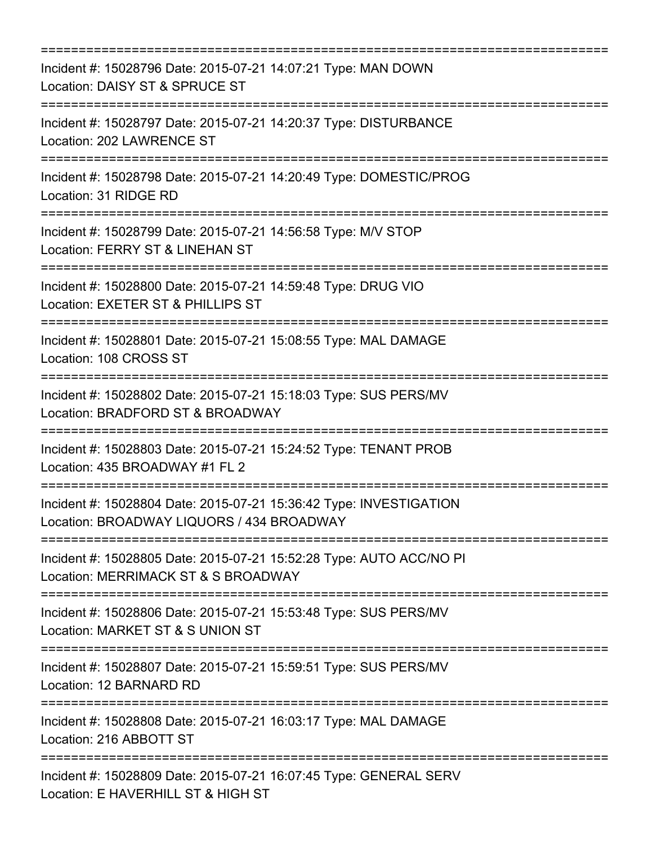| Incident #: 15028796 Date: 2015-07-21 14:07:21 Type: MAN DOWN<br>Location: DAISY ST & SPRUCE ST                                           |
|-------------------------------------------------------------------------------------------------------------------------------------------|
| Incident #: 15028797 Date: 2015-07-21 14:20:37 Type: DISTURBANCE<br>Location: 202 LAWRENCE ST                                             |
| Incident #: 15028798 Date: 2015-07-21 14:20:49 Type: DOMESTIC/PROG<br>Location: 31 RIDGE RD<br>:===================================       |
| =====================================<br>Incident #: 15028799 Date: 2015-07-21 14:56:58 Type: M/V STOP<br>Location: FERRY ST & LINEHAN ST |
| Incident #: 15028800 Date: 2015-07-21 14:59:48 Type: DRUG VIO<br>Location: EXETER ST & PHILLIPS ST                                        |
| Incident #: 15028801 Date: 2015-07-21 15:08:55 Type: MAL DAMAGE<br>Location: 108 CROSS ST                                                 |
| Incident #: 15028802 Date: 2015-07-21 15:18:03 Type: SUS PERS/MV<br>Location: BRADFORD ST & BROADWAY                                      |
| Incident #: 15028803 Date: 2015-07-21 15:24:52 Type: TENANT PROB<br>Location: 435 BROADWAY #1 FL 2                                        |
| Incident #: 15028804 Date: 2015-07-21 15:36:42 Type: INVESTIGATION<br>Location: BROADWAY LIQUORS / 434 BROADWAY                           |
| Incident #: 15028805 Date: 2015-07-21 15:52:28 Type: AUTO ACC/NO PI<br>Location: MERRIMACK ST & S BROADWAY                                |
| Incident #: 15028806 Date: 2015-07-21 15:53:48 Type: SUS PERS/MV<br>Location: MARKET ST & S UNION ST                                      |
| Incident #: 15028807 Date: 2015-07-21 15:59:51 Type: SUS PERS/MV<br>Location: 12 BARNARD RD                                               |
| Incident #: 15028808 Date: 2015-07-21 16:03:17 Type: MAL DAMAGE<br>Location: 216 ABBOTT ST                                                |
| Incident #: 15028809 Date: 2015-07-21 16:07:45 Type: GENERAL SERV<br>Location: E HAVERHILL ST & HIGH ST                                   |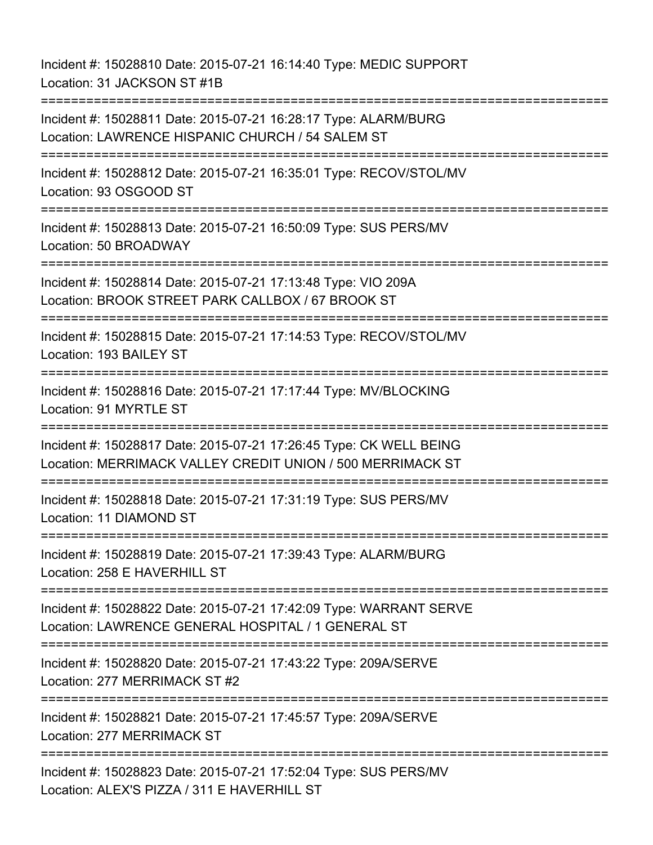Incident #: 15028810 Date: 2015-07-21 16:14:40 Type: MEDIC SUPPORT Location: 31 JACKSON ST #1B =========================================================================== Incident #: 15028811 Date: 2015-07-21 16:28:17 Type: ALARM/BURG Location: LAWRENCE HISPANIC CHURCH / 54 SALEM ST =========================================================================== Incident #: 15028812 Date: 2015-07-21 16:35:01 Type: RECOV/STOL/MV Location: 93 OSGOOD ST =========================================================================== Incident #: 15028813 Date: 2015-07-21 16:50:09 Type: SUS PERS/MV Location: 50 BROADWAY =========================================================================== Incident #: 15028814 Date: 2015-07-21 17:13:48 Type: VIO 209A Location: BROOK STREET PARK CALLBOX / 67 BROOK ST =========================================================================== Incident #: 15028815 Date: 2015-07-21 17:14:53 Type: RECOV/STOL/MV Location: 193 BAILEY ST =========================================================================== Incident #: 15028816 Date: 2015-07-21 17:17:44 Type: MV/BLOCKING Location: 91 MYRTLE ST =========================================================================== Incident #: 15028817 Date: 2015-07-21 17:26:45 Type: CK WELL BEING Location: MERRIMACK VALLEY CREDIT UNION / 500 MERRIMACK ST =========================================================================== Incident #: 15028818 Date: 2015-07-21 17:31:19 Type: SUS PERS/MV Location: 11 DIAMOND ST =========================================================================== Incident #: 15028819 Date: 2015-07-21 17:39:43 Type: ALARM/BURG Location: 258 E HAVERHILL ST =========================================================================== Incident #: 15028822 Date: 2015-07-21 17:42:09 Type: WARRANT SERVE Location: LAWRENCE GENERAL HOSPITAL / 1 GENERAL ST =========================================================================== Incident #: 15028820 Date: 2015-07-21 17:43:22 Type: 209A/SERVE Location: 277 MERRIMACK ST #2 =========================================================================== Incident #: 15028821 Date: 2015-07-21 17:45:57 Type: 209A/SERVE Location: 277 MERRIMACK ST =============================== Incident #: 15028823 Date: 2015-07-21 17:52:04 Type: SUS PERS/MV Location: ALEX'S PIZZA / 311 E HAVERHILL ST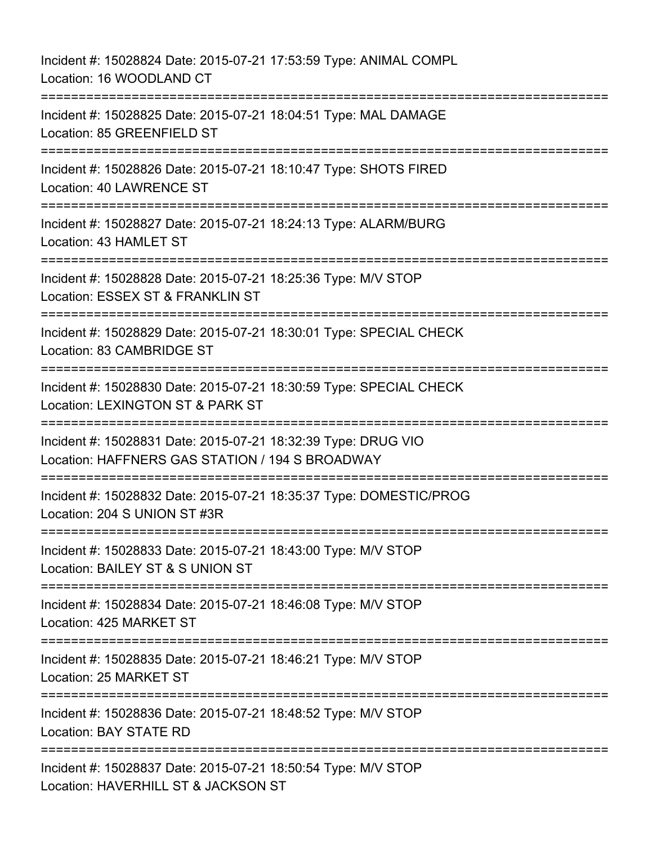Incident #: 15028824 Date: 2015-07-21 17:53:59 Type: ANIMAL COMPL Location: 16 WOODLAND CT =========================================================================== Incident #: 15028825 Date: 2015-07-21 18:04:51 Type: MAL DAMAGE Location: 85 GREENFIELD ST =========================================================================== Incident #: 15028826 Date: 2015-07-21 18:10:47 Type: SHOTS FIRED Location: 40 LAWRENCE ST =========================================================================== Incident #: 15028827 Date: 2015-07-21 18:24:13 Type: ALARM/BURG Location: 43 HAMLET ST =========================================================================== Incident #: 15028828 Date: 2015-07-21 18:25:36 Type: M/V STOP Location: ESSEX ST & FRANKLIN ST =========================================================================== Incident #: 15028829 Date: 2015-07-21 18:30:01 Type: SPECIAL CHECK Location: 83 CAMBRIDGE ST =========================================================================== Incident #: 15028830 Date: 2015-07-21 18:30:59 Type: SPECIAL CHECK Location: LEXINGTON ST & PARK ST =========================================================================== Incident #: 15028831 Date: 2015-07-21 18:32:39 Type: DRUG VIO Location: HAFFNERS GAS STATION / 194 S BROADWAY =========================================================================== Incident #: 15028832 Date: 2015-07-21 18:35:37 Type: DOMESTIC/PROG Location: 204 S UNION ST #3R =========================================================================== Incident #: 15028833 Date: 2015-07-21 18:43:00 Type: M/V STOP Location: BAILEY ST & S UNION ST =========================================================================== Incident #: 15028834 Date: 2015-07-21 18:46:08 Type: M/V STOP Location: 425 MARKET ST =========================================================================== Incident #: 15028835 Date: 2015-07-21 18:46:21 Type: M/V STOP Location: 25 MARKET ST =========================================================================== Incident #: 15028836 Date: 2015-07-21 18:48:52 Type: M/V STOP Location: BAY STATE RD =========================================================================== Incident #: 15028837 Date: 2015-07-21 18:50:54 Type: M/V STOP Location: HAVERHILL ST & JACKSON ST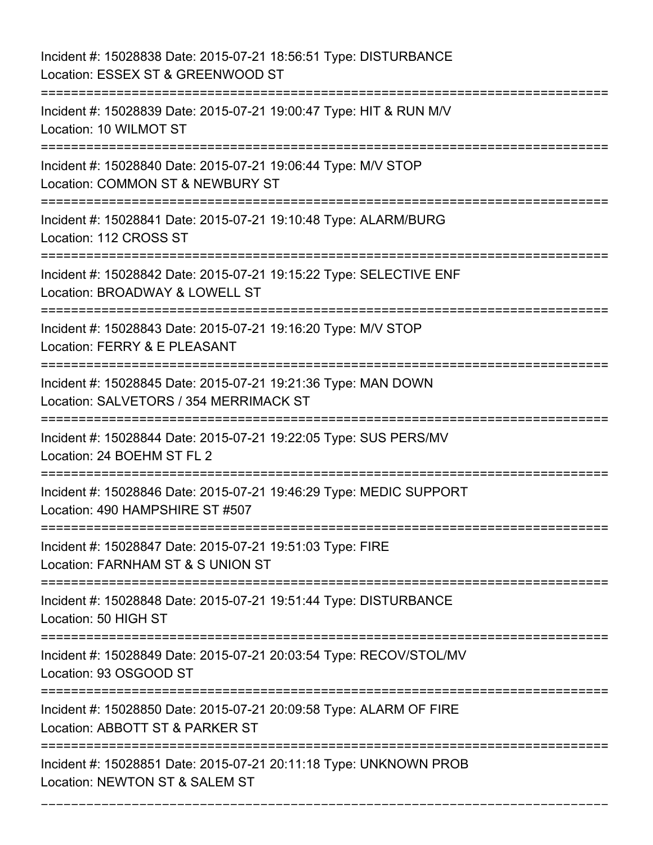Incident #: 15028838 Date: 2015-07-21 18:56:51 Type: DISTURBANCE Location: ESSEX ST & GREENWOOD ST =========================================================================== Incident #: 15028839 Date: 2015-07-21 19:00:47 Type: HIT & RUN M/V Location: 10 WILMOT ST =========================================================================== Incident #: 15028840 Date: 2015-07-21 19:06:44 Type: M/V STOP Location: COMMON ST & NEWBURY ST =========================================================================== Incident #: 15028841 Date: 2015-07-21 19:10:48 Type: ALARM/BURG Location: 112 CROSS ST =========================================================================== Incident #: 15028842 Date: 2015-07-21 19:15:22 Type: SELECTIVE ENF Location: BROADWAY & LOWELL ST =========================================================================== Incident #: 15028843 Date: 2015-07-21 19:16:20 Type: M/V STOP Location: FERRY & E PLEASANT =========================================================================== Incident #: 15028845 Date: 2015-07-21 19:21:36 Type: MAN DOWN Location: SALVETORS / 354 MERRIMACK ST =========================================================================== Incident #: 15028844 Date: 2015-07-21 19:22:05 Type: SUS PERS/MV Location: 24 BOEHM ST FL 2 =========================================================================== Incident #: 15028846 Date: 2015-07-21 19:46:29 Type: MEDIC SUPPORT Location: 490 HAMPSHIRE ST #507 =========================================================================== Incident #: 15028847 Date: 2015-07-21 19:51:03 Type: FIRE Location: FARNHAM ST & S UNION ST =========================================================================== Incident #: 15028848 Date: 2015-07-21 19:51:44 Type: DISTURBANCE Location: 50 HIGH ST =========================================================================== Incident #: 15028849 Date: 2015-07-21 20:03:54 Type: RECOV/STOL/MV Location: 93 OSGOOD ST =========================================================================== Incident #: 15028850 Date: 2015-07-21 20:09:58 Type: ALARM OF FIRE Location: ABBOTT ST & PARKER ST =========================================================================== Incident #: 15028851 Date: 2015-07-21 20:11:18 Type: UNKNOWN PROB Location: NEWTON ST & SALEM ST

===========================================================================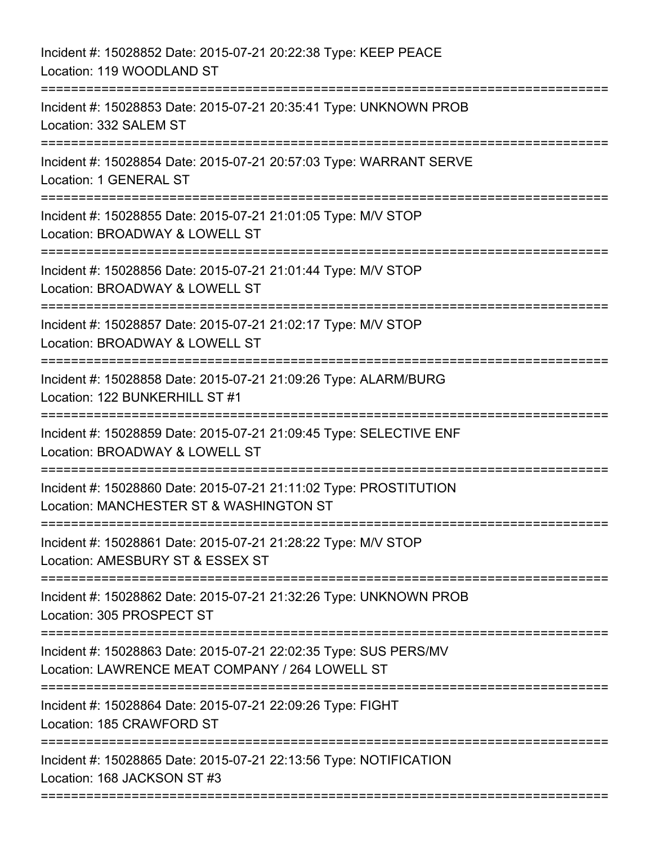| Incident #: 15028852 Date: 2015-07-21 20:22:38 Type: KEEP PEACE<br>Location: 119 WOODLAND ST                                    |
|---------------------------------------------------------------------------------------------------------------------------------|
| Incident #: 15028853 Date: 2015-07-21 20:35:41 Type: UNKNOWN PROB<br>Location: 332 SALEM ST                                     |
| Incident #: 15028854 Date: 2015-07-21 20:57:03 Type: WARRANT SERVE<br>Location: 1 GENERAL ST                                    |
| Incident #: 15028855 Date: 2015-07-21 21:01:05 Type: M/V STOP<br>Location: BROADWAY & LOWELL ST<br>===========================  |
| Incident #: 15028856 Date: 2015-07-21 21:01:44 Type: M/V STOP<br>Location: BROADWAY & LOWELL ST                                 |
| Incident #: 15028857 Date: 2015-07-21 21:02:17 Type: M/V STOP<br>Location: BROADWAY & LOWELL ST<br>===================          |
| Incident #: 15028858 Date: 2015-07-21 21:09:26 Type: ALARM/BURG<br>Location: 122 BUNKERHILL ST #1<br>:========================= |
| Incident #: 15028859 Date: 2015-07-21 21:09:45 Type: SELECTIVE ENF<br>Location: BROADWAY & LOWELL ST                            |
| Incident #: 15028860 Date: 2015-07-21 21:11:02 Type: PROSTITUTION<br>Location: MANCHESTER ST & WASHINGTON ST                    |
| Incident #: 15028861 Date: 2015-07-21 21:28:22 Type: M/V STOP<br>Location: AMESBURY ST & ESSEX ST                               |
| Incident #: 15028862 Date: 2015-07-21 21:32:26 Type: UNKNOWN PROB<br>Location: 305 PROSPECT ST                                  |
| Incident #: 15028863 Date: 2015-07-21 22:02:35 Type: SUS PERS/MV<br>Location: LAWRENCE MEAT COMPANY / 264 LOWELL ST             |
| Incident #: 15028864 Date: 2015-07-21 22:09:26 Type: FIGHT<br>Location: 185 CRAWFORD ST                                         |
| Incident #: 15028865 Date: 2015-07-21 22:13:56 Type: NOTIFICATION<br>Location: 168 JACKSON ST #3                                |
|                                                                                                                                 |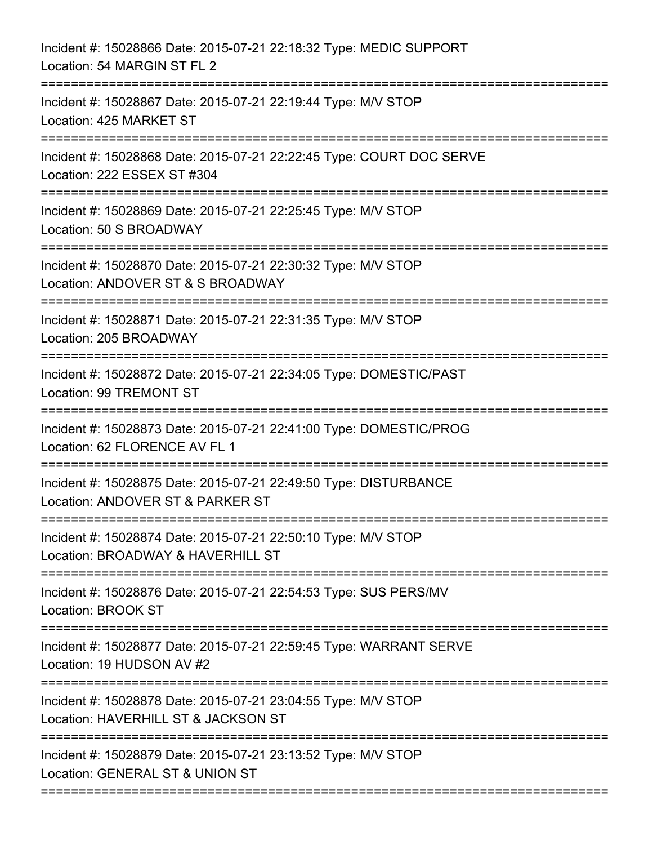| Incident #: 15028866 Date: 2015-07-21 22:18:32 Type: MEDIC SUPPORT<br>Location: 54 MARGIN ST FL 2                           |
|-----------------------------------------------------------------------------------------------------------------------------|
| Incident #: 15028867 Date: 2015-07-21 22:19:44 Type: M/V STOP<br>Location: 425 MARKET ST                                    |
| Incident #: 15028868 Date: 2015-07-21 22:22:45 Type: COURT DOC SERVE<br>Location: 222 ESSEX ST #304                         |
| Incident #: 15028869 Date: 2015-07-21 22:25:45 Type: M/V STOP<br>Location: 50 S BROADWAY                                    |
| Incident #: 15028870 Date: 2015-07-21 22:30:32 Type: M/V STOP<br>Location: ANDOVER ST & S BROADWAY<br>===================== |
| Incident #: 15028871 Date: 2015-07-21 22:31:35 Type: M/V STOP<br>Location: 205 BROADWAY                                     |
| Incident #: 15028872 Date: 2015-07-21 22:34:05 Type: DOMESTIC/PAST<br>Location: 99 TREMONT ST                               |
| Incident #: 15028873 Date: 2015-07-21 22:41:00 Type: DOMESTIC/PROG<br>Location: 62 FLORENCE AV FL 1                         |
| Incident #: 15028875 Date: 2015-07-21 22:49:50 Type: DISTURBANCE<br>Location: ANDOVER ST & PARKER ST                        |
| Incident #: 15028874 Date: 2015-07-21 22:50:10 Type: M/V STOP<br>Location: BROADWAY & HAVERHILL ST                          |
| Incident #: 15028876 Date: 2015-07-21 22:54:53 Type: SUS PERS/MV<br>Location: BROOK ST                                      |
| Incident #: 15028877 Date: 2015-07-21 22:59:45 Type: WARRANT SERVE<br>Location: 19 HUDSON AV #2                             |
| Incident #: 15028878 Date: 2015-07-21 23:04:55 Type: M/V STOP<br>Location: HAVERHILL ST & JACKSON ST                        |
| Incident #: 15028879 Date: 2015-07-21 23:13:52 Type: M/V STOP<br>Location: GENERAL ST & UNION ST                            |